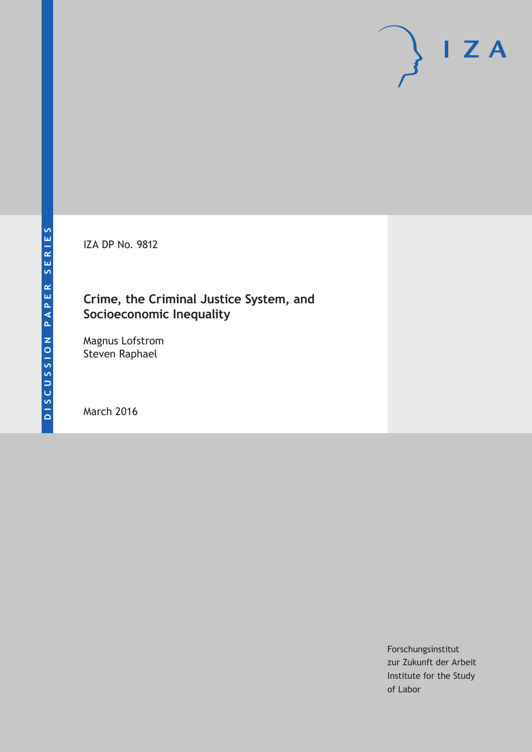IZA DP No. 9812

### **Crime, the Criminal Justice System, and Socioeconomic Inequality**

Magnus Lofstrom Steven Raphael

March 2016

Forschungsinstitut zur Zukunft der Arbeit Institute for the Study of Labor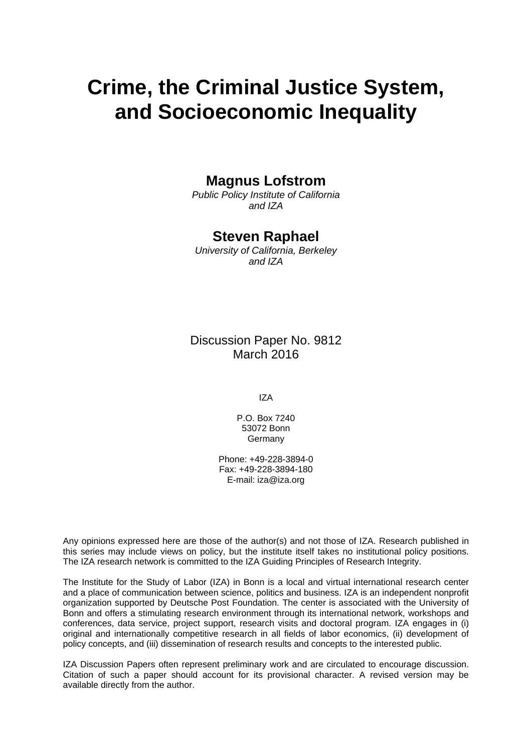# **Crime, the Criminal Justice System, and Socioeconomic Inequality**

### **Magnus Lofstrom**

*Public Policy Institute of California and IZA* 

### **Steven Raphael**

*University of California, Berkeley and IZA* 

Discussion Paper No. 9812 March 2016

IZA

P.O. Box 7240 53072 Bonn **Germany** 

Phone: +49-228-3894-0 Fax: +49-228-3894-180 E-mail: iza@iza.org

Any opinions expressed here are those of the author(s) and not those of IZA. Research published in this series may include views on policy, but the institute itself takes no institutional policy positions. The IZA research network is committed to the IZA Guiding Principles of Research Integrity.

The Institute for the Study of Labor (IZA) in Bonn is a local and virtual international research center and a place of communication between science, politics and business. IZA is an independent nonprofit organization supported by Deutsche Post Foundation. The center is associated with the University of Bonn and offers a stimulating research environment through its international network, workshops and conferences, data service, project support, research visits and doctoral program. IZA engages in (i) original and internationally competitive research in all fields of labor economics, (ii) development of policy concepts, and (iii) dissemination of research results and concepts to the interested public.

IZA Discussion Papers often represent preliminary work and are circulated to encourage discussion. Citation of such a paper should account for its provisional character. A revised version may be available directly from the author.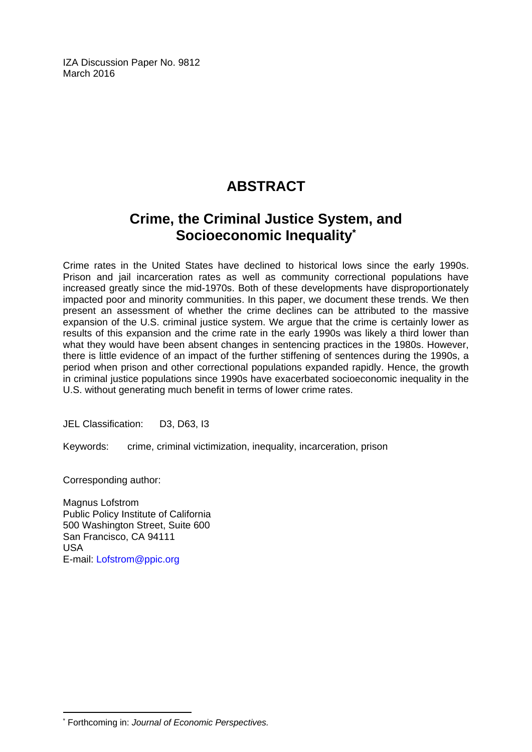IZA Discussion Paper No. 9812 March 2016

## **ABSTRACT**

### **Crime, the Criminal Justice System, and Socioeconomic Inequality\***

Crime rates in the United States have declined to historical lows since the early 1990s. Prison and jail incarceration rates as well as community correctional populations have increased greatly since the mid-1970s. Both of these developments have disproportionately impacted poor and minority communities. In this paper, we document these trends. We then present an assessment of whether the crime declines can be attributed to the massive expansion of the U.S. criminal justice system. We argue that the crime is certainly lower as results of this expansion and the crime rate in the early 1990s was likely a third lower than what they would have been absent changes in sentencing practices in the 1980s. However, there is little evidence of an impact of the further stiffening of sentences during the 1990s, a period when prison and other correctional populations expanded rapidly. Hence, the growth in criminal justice populations since 1990s have exacerbated socioeconomic inequality in the U.S. without generating much benefit in terms of lower crime rates.

JEL Classification: D3, D63, I3

Keywords: crime, criminal victimization, inequality, incarceration, prison

Corresponding author:

Magnus Lofstrom Public Policy Institute of California 500 Washington Street, Suite 600 San Francisco, CA 94111 USA E-mail: Lofstrom@ppic.org

 $\overline{a}$ \* Forthcoming in: *Journal of Economic Perspectives.*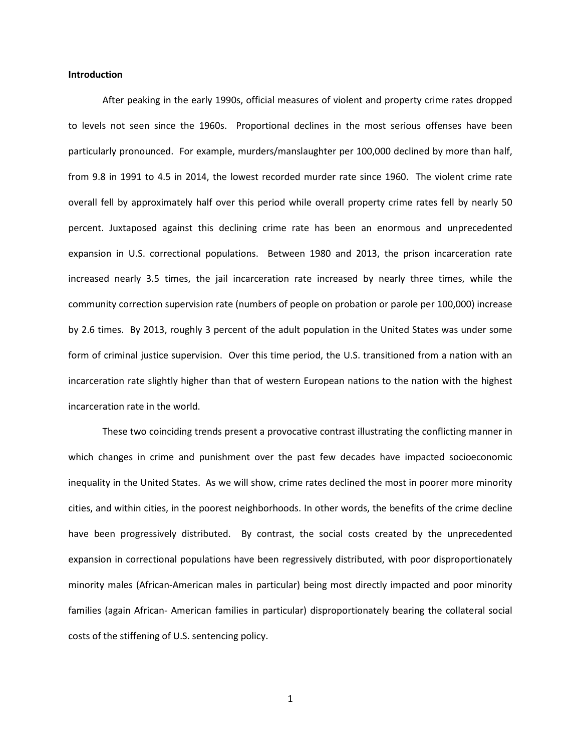#### **Introduction**

After peaking in the early 1990s, official measures of violent and property crime rates dropped to levels not seen since the 1960s. Proportional declines in the most serious offenses have been particularly pronounced. For example, murders/manslaughter per 100,000 declined by more than half, from 9.8 in 1991 to 4.5 in 2014, the lowest recorded murder rate since 1960. The violent crime rate overall fell by approximately half over this period while overall property crime rates fell by nearly 50 percent. Juxtaposed against this declining crime rate has been an enormous and unprecedented expansion in U.S. correctional populations. Between 1980 and 2013, the prison incarceration rate increased nearly 3.5 times, the jail incarceration rate increased by nearly three times, while the community correction supervision rate (numbers of people on probation or parole per 100,000) increase by 2.6 times. By 2013, roughly 3 percent of the adult population in the United States was under some form of criminal justice supervision. Over this time period, the U.S. transitioned from a nation with an incarceration rate slightly higher than that of western European nations to the nation with the highest incarceration rate in the world.

These two coinciding trends present a provocative contrast illustrating the conflicting manner in which changes in crime and punishment over the past few decades have impacted socioeconomic inequality in the United States. As we will show, crime rates declined the most in poorer more minority cities, and within cities, in the poorest neighborhoods. In other words, the benefits of the crime decline have been progressively distributed. By contrast, the social costs created by the unprecedented expansion in correctional populations have been regressively distributed, with poor disproportionately minority males (African-American males in particular) being most directly impacted and poor minority families (again African- American families in particular) disproportionately bearing the collateral social costs of the stiffening of U.S. sentencing policy.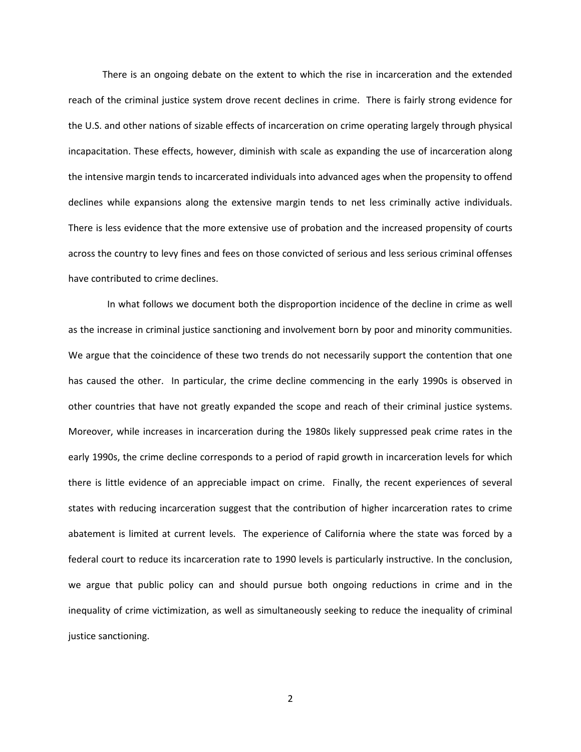There is an ongoing debate on the extent to which the rise in incarceration and the extended reach of the criminal justice system drove recent declines in crime. There is fairly strong evidence for the U.S. and other nations of sizable effects of incarceration on crime operating largely through physical incapacitation. These effects, however, diminish with scale as expanding the use of incarceration along the intensive margin tends to incarcerated individuals into advanced ages when the propensity to offend declines while expansions along the extensive margin tends to net less criminally active individuals. There is less evidence that the more extensive use of probation and the increased propensity of courts across the country to levy fines and fees on those convicted of serious and less serious criminal offenses have contributed to crime declines.

 In what follows we document both the disproportion incidence of the decline in crime as well as the increase in criminal justice sanctioning and involvement born by poor and minority communities. We argue that the coincidence of these two trends do not necessarily support the contention that one has caused the other. In particular, the crime decline commencing in the early 1990s is observed in other countries that have not greatly expanded the scope and reach of their criminal justice systems. Moreover, while increases in incarceration during the 1980s likely suppressed peak crime rates in the early 1990s, the crime decline corresponds to a period of rapid growth in incarceration levels for which there is little evidence of an appreciable impact on crime. Finally, the recent experiences of several states with reducing incarceration suggest that the contribution of higher incarceration rates to crime abatement is limited at current levels. The experience of California where the state was forced by a federal court to reduce its incarceration rate to 1990 levels is particularly instructive. In the conclusion, we argue that public policy can and should pursue both ongoing reductions in crime and in the inequality of crime victimization, as well as simultaneously seeking to reduce the inequality of criminal justice sanctioning.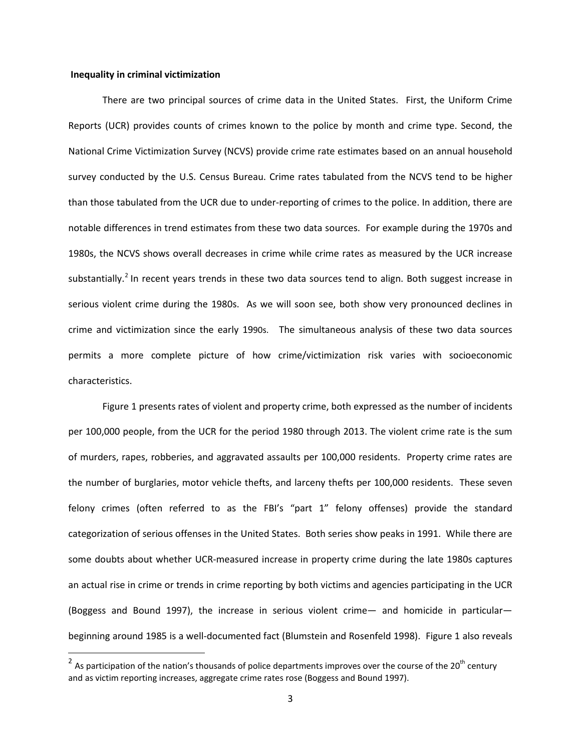#### **Inequality in criminal victimization**

There are two principal sources of crime data in the United States. First, the Uniform Crime Reports (UCR) provides counts of crimes known to the police by month and crime type. Second, the National Crime Victimization Survey (NCVS) provide crime rate estimates based on an annual household survey conducted by the U.S. Census Bureau. Crime rates tabulated from the NCVS tend to be higher than those tabulated from the UCR due to under-reporting of crimes to the police. In addition, there are notable differences in trend estimates from these two data sources. For example during the 1970s and 1980s, the NCVS shows overall decreases in crime while crime rates as measured by the UCR increase substantially.<sup>[2](#page-5-0)</sup> In recent years trends in these two data sources tend to align. Both suggest increase in serious violent crime during the 1980s. As we will soon see, both show very pronounced declines in crime and victimization since the early 1990s. The simultaneous analysis of these two data sources permits a more complete picture of how crime/victimization risk varies with socioeconomic characteristics.

Figure 1 presents rates of violent and property crime, both expressed as the number of incidents per 100,000 people, from the UCR for the period 1980 through 2013. The violent crime rate is the sum of murders, rapes, robberies, and aggravated assaults per 100,000 residents. Property crime rates are the number of burglaries, motor vehicle thefts, and larceny thefts per 100,000 residents. These seven felony crimes (often referred to as the FBI's "part 1" felony offenses) provide the standard categorization of serious offenses in the United States. Both series show peaks in 1991. While there are some doubts about whether UCR-measured increase in property crime during the late 1980s captures an actual rise in crime or trends in crime reporting by both victims and agencies participating in the UCR (Boggess and Bound 1997), the increase in serious violent crime— and homicide in particular beginning around 1985 is a well-documented fact (Blumstein and Rosenfeld 1998). Figure 1 also reveals

<span id="page-5-0"></span><sup>&</sup>lt;sup>2</sup> As participation of the nation's thousands of police departments improves over the course of the 20<sup>th</sup> century and as victim reporting increases, aggregate crime rates rose (Boggess and Bound 1997).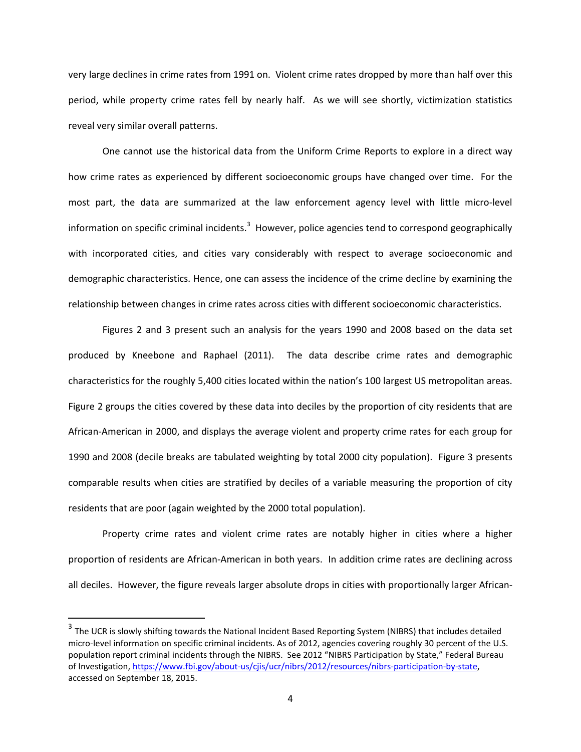very large declines in crime rates from 1991 on. Violent crime rates dropped by more than half over this period, while property crime rates fell by nearly half. As we will see shortly, victimization statistics reveal very similar overall patterns.

One cannot use the historical data from the Uniform Crime Reports to explore in a direct way how crime rates as experienced by different socioeconomic groups have changed over time. For the most part, the data are summarized at the law enforcement agency level with little micro-level information on specific criminal incidents.<sup>[3](#page-6-0)</sup> However, police agencies tend to correspond geographically with incorporated cities, and cities vary considerably with respect to average socioeconomic and demographic characteristics. Hence, one can assess the incidence of the crime decline by examining the relationship between changes in crime rates across cities with different socioeconomic characteristics.

Figures 2 and 3 present such an analysis for the years 1990 and 2008 based on the data set produced by Kneebone and Raphael (2011). The data describe crime rates and demographic characteristics for the roughly 5,400 cities located within the nation's 100 largest US metropolitan areas. Figure 2 groups the cities covered by these data into deciles by the proportion of city residents that are African-American in 2000, and displays the average violent and property crime rates for each group for 1990 and 2008 (decile breaks are tabulated weighting by total 2000 city population). Figure 3 presents comparable results when cities are stratified by deciles of a variable measuring the proportion of city residents that are poor (again weighted by the 2000 total population).

Property crime rates and violent crime rates are notably higher in cities where a higher proportion of residents are African-American in both years. In addition crime rates are declining across all deciles. However, the figure reveals larger absolute drops in cities with proportionally larger African-

<span id="page-6-0"></span> $3$  The UCR is slowly shifting towards the National Incident Based Reporting System (NIBRS) that includes detailed micro-level information on specific criminal incidents. As of 2012, agencies covering roughly 30 percent of the U.S. population report criminal incidents through the NIBRS. See 2012 "NIBRS Participation by State," Federal Bureau of Investigation, [https://www.fbi.gov/about-us/cjis/ucr/nibrs/2012/resources/nibrs-participation-by-state,](https://www.fbi.gov/about-us/cjis/ucr/nibrs/2012/resources/nibrs-participation-by-state)  accessed on September 18, 2015.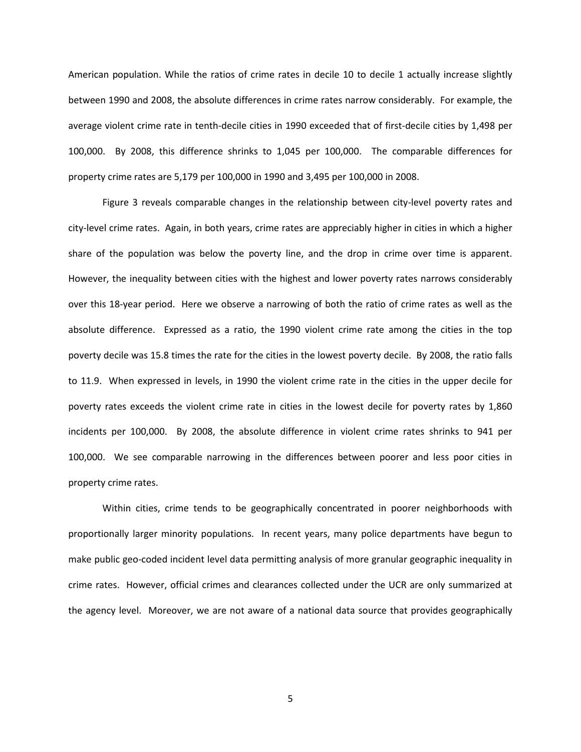American population. While the ratios of crime rates in decile 10 to decile 1 actually increase slightly between 1990 and 2008, the absolute differences in crime rates narrow considerably. For example, the average violent crime rate in tenth-decile cities in 1990 exceeded that of first-decile cities by 1,498 per 100,000. By 2008, this difference shrinks to 1,045 per 100,000. The comparable differences for property crime rates are 5,179 per 100,000 in 1990 and 3,495 per 100,000 in 2008.

Figure 3 reveals comparable changes in the relationship between city-level poverty rates and city-level crime rates. Again, in both years, crime rates are appreciably higher in cities in which a higher share of the population was below the poverty line, and the drop in crime over time is apparent. However, the inequality between cities with the highest and lower poverty rates narrows considerably over this 18-year period. Here we observe a narrowing of both the ratio of crime rates as well as the absolute difference. Expressed as a ratio, the 1990 violent crime rate among the cities in the top poverty decile was 15.8 times the rate for the cities in the lowest poverty decile. By 2008, the ratio falls to 11.9. When expressed in levels, in 1990 the violent crime rate in the cities in the upper decile for poverty rates exceeds the violent crime rate in cities in the lowest decile for poverty rates by 1,860 incidents per 100,000. By 2008, the absolute difference in violent crime rates shrinks to 941 per 100,000. We see comparable narrowing in the differences between poorer and less poor cities in property crime rates.

Within cities, crime tends to be geographically concentrated in poorer neighborhoods with proportionally larger minority populations. In recent years, many police departments have begun to make public geo-coded incident level data permitting analysis of more granular geographic inequality in crime rates. However, official crimes and clearances collected under the UCR are only summarized at the agency level. Moreover, we are not aware of a national data source that provides geographically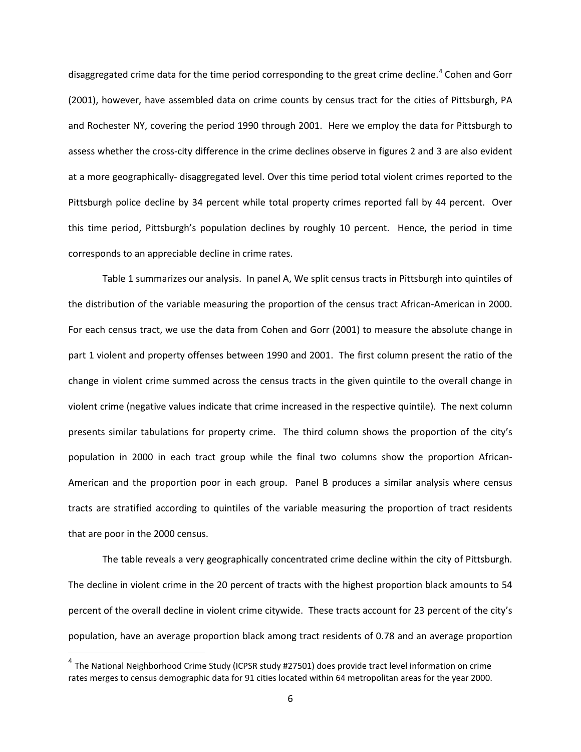disaggregated crime data for the time period corresponding to the great crime decline.<sup>[4](#page-8-0)</sup> Cohen and Gorr (2001), however, have assembled data on crime counts by census tract for the cities of Pittsburgh, PA and Rochester NY, covering the period 1990 through 2001. Here we employ the data for Pittsburgh to assess whether the cross-city difference in the crime declines observe in figures 2 and 3 are also evident at a more geographically- disaggregated level. Over this time period total violent crimes reported to the Pittsburgh police decline by 34 percent while total property crimes reported fall by 44 percent. Over this time period, Pittsburgh's population declines by roughly 10 percent. Hence, the period in time corresponds to an appreciable decline in crime rates.

Table 1 summarizes our analysis. In panel A, We split census tracts in Pittsburgh into quintiles of the distribution of the variable measuring the proportion of the census tract African-American in 2000. For each census tract, we use the data from Cohen and Gorr (2001) to measure the absolute change in part 1 violent and property offenses between 1990 and 2001. The first column present the ratio of the change in violent crime summed across the census tracts in the given quintile to the overall change in violent crime (negative values indicate that crime increased in the respective quintile). The next column presents similar tabulations for property crime. The third column shows the proportion of the city's population in 2000 in each tract group while the final two columns show the proportion African-American and the proportion poor in each group. Panel B produces a similar analysis where census tracts are stratified according to quintiles of the variable measuring the proportion of tract residents that are poor in the 2000 census.

The table reveals a very geographically concentrated crime decline within the city of Pittsburgh. The decline in violent crime in the 20 percent of tracts with the highest proportion black amounts to 54 percent of the overall decline in violent crime citywide. These tracts account for 23 percent of the city's population, have an average proportion black among tract residents of 0.78 and an average proportion

<span id="page-8-0"></span><sup>&</sup>lt;sup>4</sup> The National Neighborhood Crime Study (ICPSR study #27501) does provide tract level information on crime rates merges to census demographic data for 91 cities located within 64 metropolitan areas for the year 2000.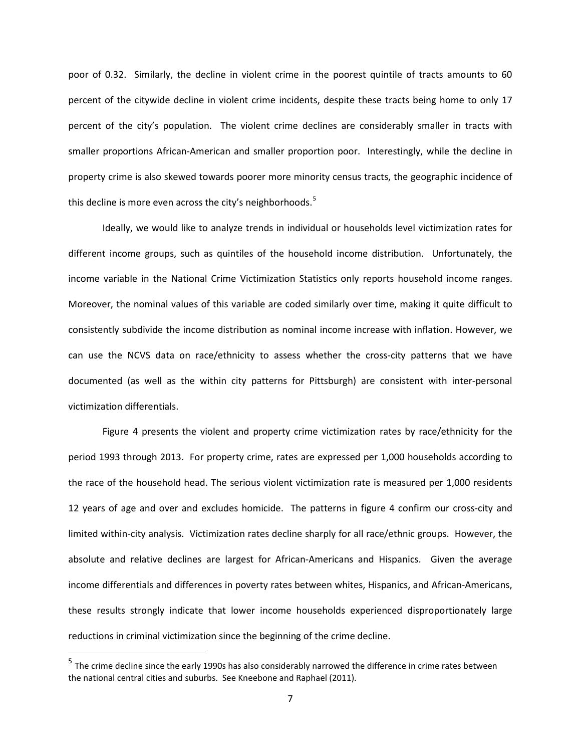poor of 0.32. Similarly, the decline in violent crime in the poorest quintile of tracts amounts to 60 percent of the citywide decline in violent crime incidents, despite these tracts being home to only 17 percent of the city's population. The violent crime declines are considerably smaller in tracts with smaller proportions African-American and smaller proportion poor. Interestingly, while the decline in property crime is also skewed towards poorer more minority census tracts, the geographic incidence of this decline is more even across the city's neighborhoods.<sup>[5](#page-9-0)</sup>

Ideally, we would like to analyze trends in individual or households level victimization rates for different income groups, such as quintiles of the household income distribution. Unfortunately, the income variable in the National Crime Victimization Statistics only reports household income ranges. Moreover, the nominal values of this variable are coded similarly over time, making it quite difficult to consistently subdivide the income distribution as nominal income increase with inflation. However, we can use the NCVS data on race/ethnicity to assess whether the cross-city patterns that we have documented (as well as the within city patterns for Pittsburgh) are consistent with inter-personal victimization differentials.

Figure 4 presents the violent and property crime victimization rates by race/ethnicity for the period 1993 through 2013. For property crime, rates are expressed per 1,000 households according to the race of the household head. The serious violent victimization rate is measured per 1,000 residents 12 years of age and over and excludes homicide. The patterns in figure 4 confirm our cross-city and limited within-city analysis. Victimization rates decline sharply for all race/ethnic groups. However, the absolute and relative declines are largest for African-Americans and Hispanics. Given the average income differentials and differences in poverty rates between whites, Hispanics, and African-Americans, these results strongly indicate that lower income households experienced disproportionately large reductions in criminal victimization since the beginning of the crime decline.

<span id="page-9-0"></span><sup>&</sup>lt;sup>5</sup> The crime decline since the early 1990s has also considerably narrowed the difference in crime rates between the national central cities and suburbs. See Kneebone and Raphael (2011).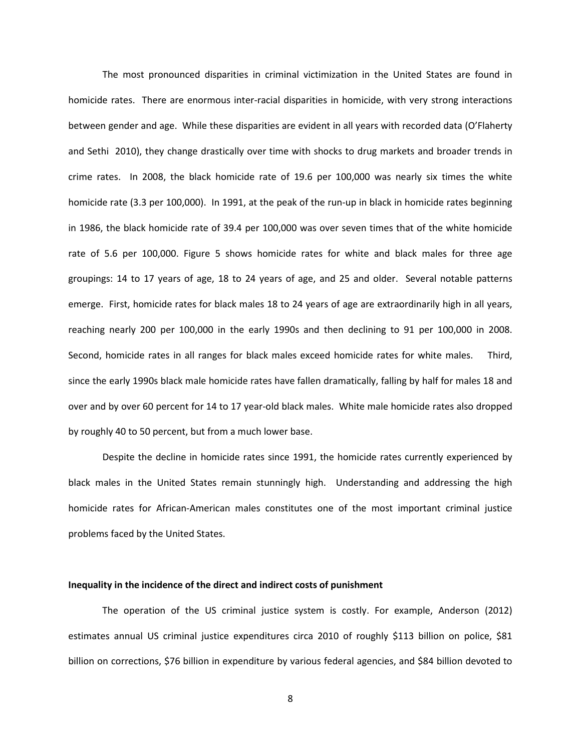The most pronounced disparities in criminal victimization in the United States are found in homicide rates. There are enormous inter-racial disparities in homicide, with very strong interactions between gender and age. While these disparities are evident in all years with recorded data (O'Flaherty and Sethi 2010), they change drastically over time with shocks to drug markets and broader trends in crime rates. In 2008, the black homicide rate of 19.6 per 100,000 was nearly six times the white homicide rate (3.3 per 100,000). In 1991, at the peak of the run-up in black in homicide rates beginning in 1986, the black homicide rate of 39.4 per 100,000 was over seven times that of the white homicide rate of 5.6 per 100,000. Figure 5 shows homicide rates for white and black males for three age groupings: 14 to 17 years of age, 18 to 24 years of age, and 25 and older. Several notable patterns emerge. First, homicide rates for black males 18 to 24 years of age are extraordinarily high in all years, reaching nearly 200 per 100,000 in the early 1990s and then declining to 91 per 100,000 in 2008. Second, homicide rates in all ranges for black males exceed homicide rates for white males. Third, since the early 1990s black male homicide rates have fallen dramatically, falling by half for males 18 and over and by over 60 percent for 14 to 17 year-old black males. White male homicide rates also dropped by roughly 40 to 50 percent, but from a much lower base.

Despite the decline in homicide rates since 1991, the homicide rates currently experienced by black males in the United States remain stunningly high. Understanding and addressing the high homicide rates for African-American males constitutes one of the most important criminal justice problems faced by the United States.

#### **Inequality in the incidence of the direct and indirect costs of punishment**

The operation of the US criminal justice system is costly. For example, Anderson (2012) estimates annual US criminal justice expenditures circa 2010 of roughly \$113 billion on police, \$81 billion on corrections, \$76 billion in expenditure by various federal agencies, and \$84 billion devoted to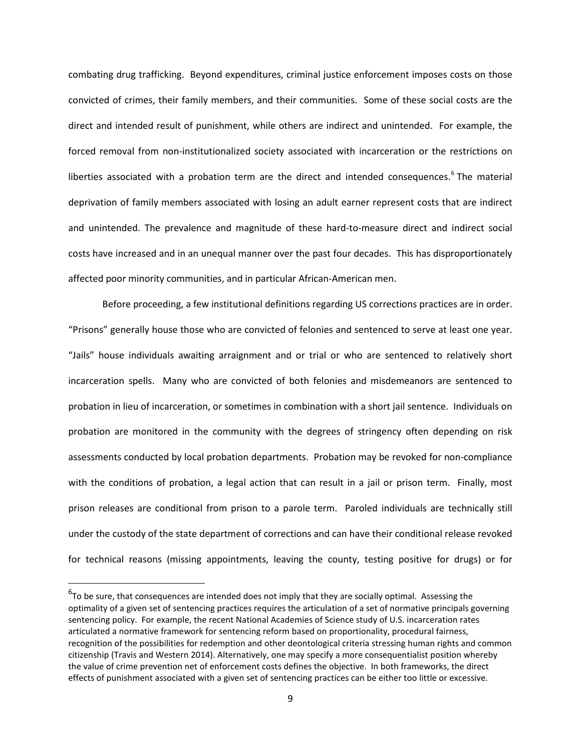combating drug trafficking. Beyond expenditures, criminal justice enforcement imposes costs on those convicted of crimes, their family members, and their communities. Some of these social costs are the direct and intended result of punishment, while others are indirect and unintended. For example, the forced removal from non-institutionalized society associated with incarceration or the restrictions on liberties associated with a probation term are the direct and intended consequences.<sup>[6](#page-11-0)</sup> The material deprivation of family members associated with losing an adult earner represent costs that are indirect and unintended. The prevalence and magnitude of these hard-to-measure direct and indirect social costs have increased and in an unequal manner over the past four decades. This has disproportionately affected poor minority communities, and in particular African-American men.

Before proceeding, a few institutional definitions regarding US corrections practices are in order. "Prisons" generally house those who are convicted of felonies and sentenced to serve at least one year. "Jails" house individuals awaiting arraignment and or trial or who are sentenced to relatively short incarceration spells. Many who are convicted of both felonies and misdemeanors are sentenced to probation in lieu of incarceration, or sometimes in combination with a short jail sentence. Individuals on probation are monitored in the community with the degrees of stringency often depending on risk assessments conducted by local probation departments. Probation may be revoked for non-compliance with the conditions of probation, a legal action that can result in a jail or prison term. Finally, most prison releases are conditional from prison to a parole term. Paroled individuals are technically still under the custody of the state department of corrections and can have their conditional release revoked for technical reasons (missing appointments, leaving the county, testing positive for drugs) or for

<span id="page-11-0"></span><sup>&</sup>lt;u>Fordical</u><br><sup>6</sup>To be sure, that consequences are intended does not imply that they are socially optimal. Assessing the optimality of a given set of sentencing practices requires the articulation of a set of normative principals governing sentencing policy. For example, the recent National Academies of Science study of U.S. incarceration rates articulated a normative framework for sentencing reform based on proportionality, procedural fairness, recognition of the possibilities for redemption and other deontological criteria stressing human rights and common citizenship (Travis and Western 2014). Alternatively, one may specify a more consequentialist position whereby the value of crime prevention net of enforcement costs defines the objective. In both frameworks, the direct effects of punishment associated with a given set of sentencing practices can be either too little or excessive.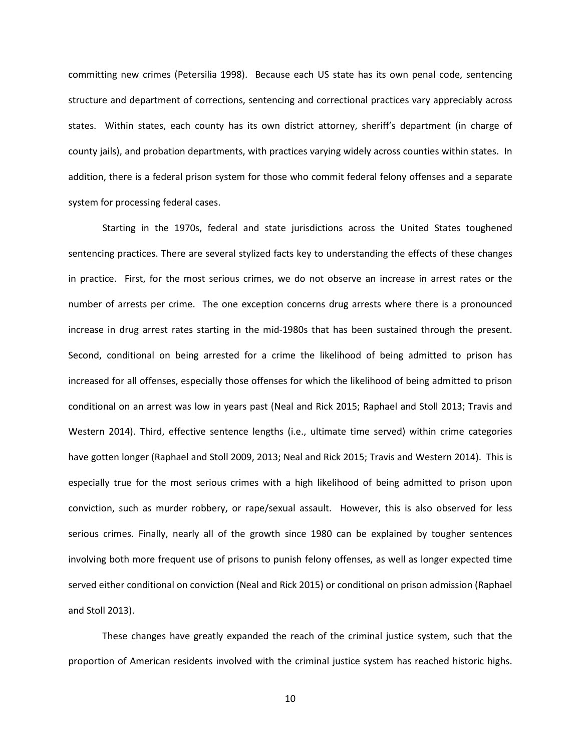committing new crimes (Petersilia 1998). Because each US state has its own penal code, sentencing structure and department of corrections, sentencing and correctional practices vary appreciably across states. Within states, each county has its own district attorney, sheriff's department (in charge of county jails), and probation departments, with practices varying widely across counties within states. In addition, there is a federal prison system for those who commit federal felony offenses and a separate system for processing federal cases.

Starting in the 1970s, federal and state jurisdictions across the United States toughened sentencing practices. There are several stylized facts key to understanding the effects of these changes in practice. First, for the most serious crimes, we do not observe an increase in arrest rates or the number of arrests per crime. The one exception concerns drug arrests where there is a pronounced increase in drug arrest rates starting in the mid-1980s that has been sustained through the present. Second, conditional on being arrested for a crime the likelihood of being admitted to prison has increased for all offenses, especially those offenses for which the likelihood of being admitted to prison conditional on an arrest was low in years past (Neal and Rick 2015; Raphael and Stoll 2013; Travis and Western 2014). Third, effective sentence lengths (i.e., ultimate time served) within crime categories have gotten longer (Raphael and Stoll 2009, 2013; Neal and Rick 2015; Travis and Western 2014). This is especially true for the most serious crimes with a high likelihood of being admitted to prison upon conviction, such as murder robbery, or rape/sexual assault. However, this is also observed for less serious crimes. Finally, nearly all of the growth since 1980 can be explained by tougher sentences involving both more frequent use of prisons to punish felony offenses, as well as longer expected time served either conditional on conviction (Neal and Rick 2015) or conditional on prison admission (Raphael and Stoll 2013).

These changes have greatly expanded the reach of the criminal justice system, such that the proportion of American residents involved with the criminal justice system has reached historic highs.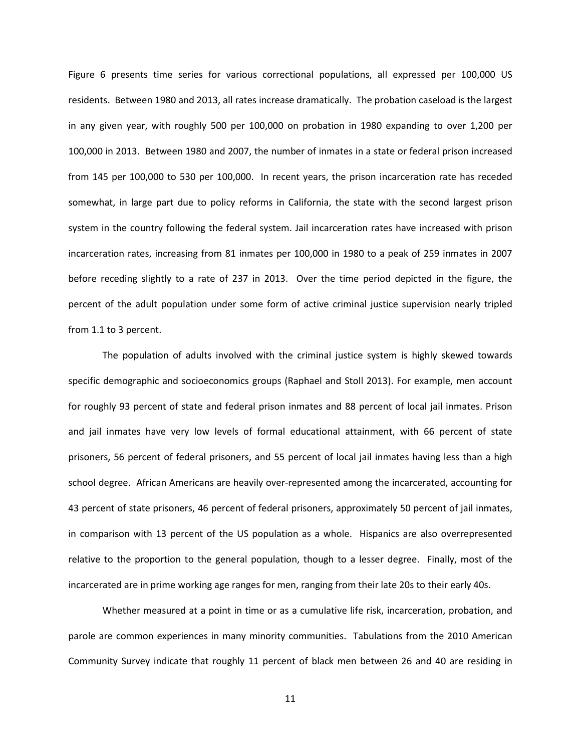Figure 6 presents time series for various correctional populations, all expressed per 100,000 US residents. Between 1980 and 2013, all rates increase dramatically. The probation caseload is the largest in any given year, with roughly 500 per 100,000 on probation in 1980 expanding to over 1,200 per 100,000 in 2013. Between 1980 and 2007, the number of inmates in a state or federal prison increased from 145 per 100,000 to 530 per 100,000. In recent years, the prison incarceration rate has receded somewhat, in large part due to policy reforms in California, the state with the second largest prison system in the country following the federal system. Jail incarceration rates have increased with prison incarceration rates, increasing from 81 inmates per 100,000 in 1980 to a peak of 259 inmates in 2007 before receding slightly to a rate of 237 in 2013. Over the time period depicted in the figure, the percent of the adult population under some form of active criminal justice supervision nearly tripled from 1.1 to 3 percent.

The population of adults involved with the criminal justice system is highly skewed towards specific demographic and socioeconomics groups (Raphael and Stoll 2013). For example, men account for roughly 93 percent of state and federal prison inmates and 88 percent of local jail inmates. Prison and jail inmates have very low levels of formal educational attainment, with 66 percent of state prisoners, 56 percent of federal prisoners, and 55 percent of local jail inmates having less than a high school degree. African Americans are heavily over-represented among the incarcerated, accounting for 43 percent of state prisoners, 46 percent of federal prisoners, approximately 50 percent of jail inmates, in comparison with 13 percent of the US population as a whole. Hispanics are also overrepresented relative to the proportion to the general population, though to a lesser degree. Finally, most of the incarcerated are in prime working age ranges for men, ranging from their late 20s to their early 40s.

Whether measured at a point in time or as a cumulative life risk, incarceration, probation, and parole are common experiences in many minority communities. Tabulations from the 2010 American Community Survey indicate that roughly 11 percent of black men between 26 and 40 are residing in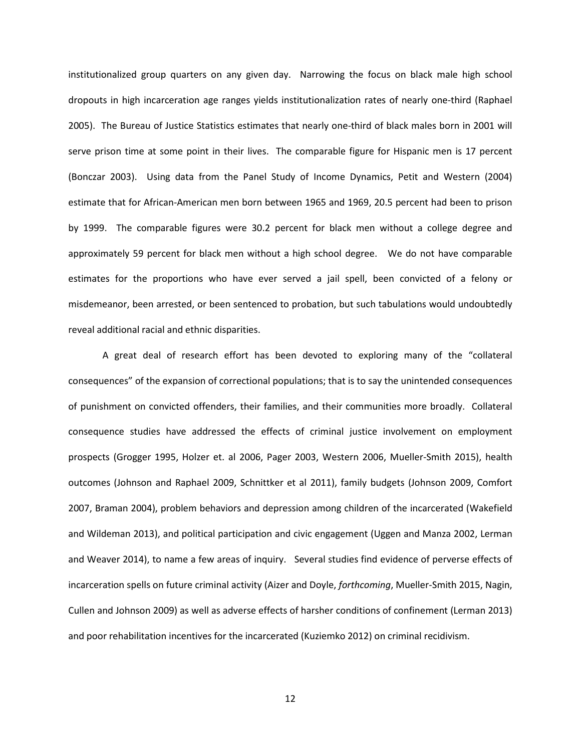institutionalized group quarters on any given day. Narrowing the focus on black male high school dropouts in high incarceration age ranges yields institutionalization rates of nearly one-third (Raphael 2005). The Bureau of Justice Statistics estimates that nearly one-third of black males born in 2001 will serve prison time at some point in their lives. The comparable figure for Hispanic men is 17 percent (Bonczar 2003). Using data from the Panel Study of Income Dynamics, Petit and Western (2004) estimate that for African-American men born between 1965 and 1969, 20.5 percent had been to prison by 1999. The comparable figures were 30.2 percent for black men without a college degree and approximately 59 percent for black men without a high school degree. We do not have comparable estimates for the proportions who have ever served a jail spell, been convicted of a felony or misdemeanor, been arrested, or been sentenced to probation, but such tabulations would undoubtedly reveal additional racial and ethnic disparities.

A great deal of research effort has been devoted to exploring many of the "collateral consequences" of the expansion of correctional populations; that is to say the unintended consequences of punishment on convicted offenders, their families, and their communities more broadly. Collateral consequence studies have addressed the effects of criminal justice involvement on employment prospects (Grogger 1995, Holzer et. al 2006, Pager 2003, Western 2006, Mueller-Smith 2015), health outcomes (Johnson and Raphael 2009, Schnittker et al 2011), family budgets (Johnson 2009, Comfort 2007, Braman 2004), problem behaviors and depression among children of the incarcerated (Wakefield and Wildeman 2013), and political participation and civic engagement (Uggen and Manza 2002, Lerman and Weaver 2014), to name a few areas of inquiry. Several studies find evidence of perverse effects of incarceration spells on future criminal activity (Aizer and Doyle, *forthcoming*, Mueller-Smith 2015, Nagin, Cullen and Johnson 2009) as well as adverse effects of harsher conditions of confinement (Lerman 2013) and poor rehabilitation incentives for the incarcerated (Kuziemko 2012) on criminal recidivism.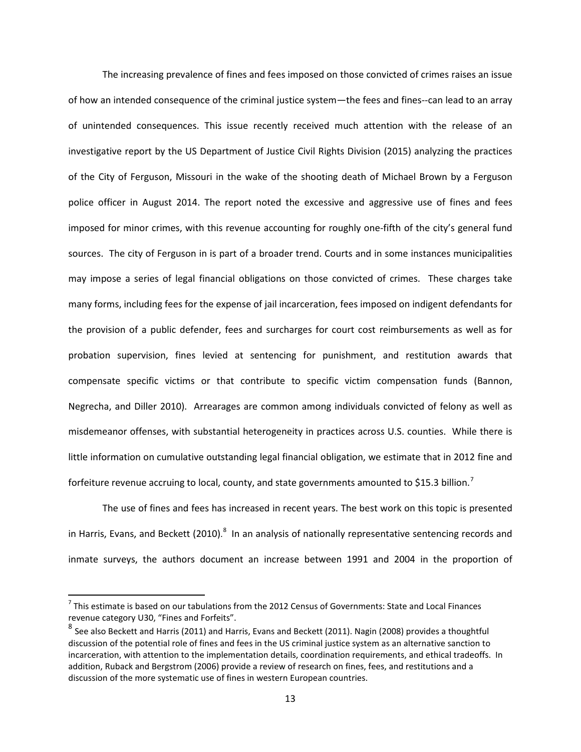The increasing prevalence of fines and fees imposed on those convicted of crimes raises an issue of how an intended consequence of the criminal justice system—the fees and fines--can lead to an array of unintended consequences. This issue recently received much attention with the release of an investigative report by the US Department of Justice Civil Rights Division (2015) analyzing the practices of the City of Ferguson, Missouri in the wake of the shooting death of Michael Brown by a Ferguson police officer in August 2014. The report noted the excessive and aggressive use of fines and fees imposed for minor crimes, with this revenue accounting for roughly one-fifth of the city's general fund sources. The city of Ferguson in is part of a broader trend. Courts and in some instances municipalities may impose a series of legal financial obligations on those convicted of crimes. These charges take many forms, including fees for the expense of jail incarceration, fees imposed on indigent defendants for the provision of a public defender, fees and surcharges for court cost reimbursements as well as for probation supervision, fines levied at sentencing for punishment, and restitution awards that compensate specific victims or that contribute to specific victim compensation funds (Bannon, Negrecha, and Diller 2010). Arrearages are common among individuals convicted of felony as well as misdemeanor offenses, with substantial heterogeneity in practices across U.S. counties. While there is little information on cumulative outstanding legal financial obligation, we estimate that in 2012 fine and forfeiture revenue accruing to local, county, and state governments amounted to \$15.3 billion.<sup>[7](#page-15-0)</sup>

The use of fines and fees has increased in recent years. The best work on this topic is presented in Harris, Evans, and Beckett (2010). $^8$  $^8$  In an analysis of nationally representative sentencing records and inmate surveys, the authors document an increase between 1991 and 2004 in the proportion of

<span id="page-15-0"></span> $<sup>7</sup>$  This estimate is based on our tabulations from the 2012 Census of Governments: State and Local Finances</sup> revenue category U30, "Fines and Forfeits".

<span id="page-15-1"></span><sup>&</sup>lt;sup>8</sup> See also Beckett and Harris (2011) and Harris, Evans and Beckett (2011). Nagin (2008) provides a thoughtful discussion of the potential role of fines and fees in the US criminal justice system as an alternative sanction to incarceration, with attention to the implementation details, coordination requirements, and ethical tradeoffs. In addition, Ruback and Bergstrom (2006) provide a review of research on fines, fees, and restitutions and a discussion of the more systematic use of fines in western European countries.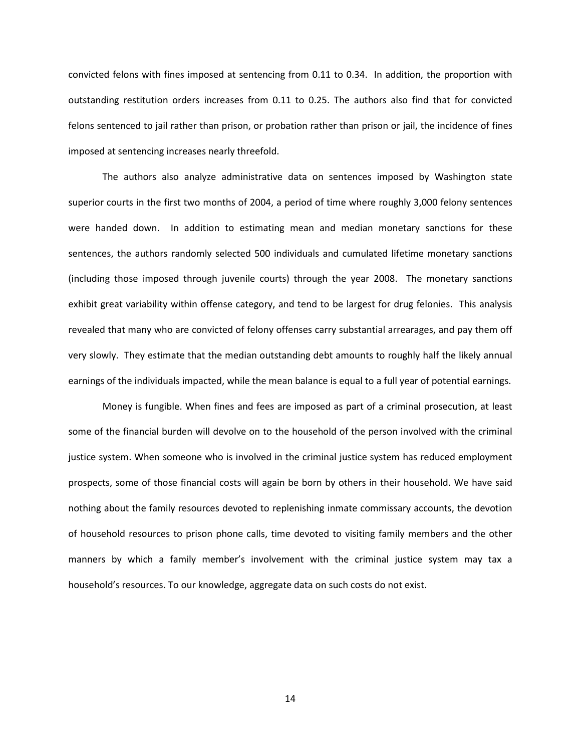convicted felons with fines imposed at sentencing from 0.11 to 0.34. In addition, the proportion with outstanding restitution orders increases from 0.11 to 0.25. The authors also find that for convicted felons sentenced to jail rather than prison, or probation rather than prison or jail, the incidence of fines imposed at sentencing increases nearly threefold.

The authors also analyze administrative data on sentences imposed by Washington state superior courts in the first two months of 2004, a period of time where roughly 3,000 felony sentences were handed down. In addition to estimating mean and median monetary sanctions for these sentences, the authors randomly selected 500 individuals and cumulated lifetime monetary sanctions (including those imposed through juvenile courts) through the year 2008. The monetary sanctions exhibit great variability within offense category, and tend to be largest for drug felonies. This analysis revealed that many who are convicted of felony offenses carry substantial arrearages, and pay them off very slowly. They estimate that the median outstanding debt amounts to roughly half the likely annual earnings of the individuals impacted, while the mean balance is equal to a full year of potential earnings.

Money is fungible. When fines and fees are imposed as part of a criminal prosecution, at least some of the financial burden will devolve on to the household of the person involved with the criminal justice system. When someone who is involved in the criminal justice system has reduced employment prospects, some of those financial costs will again be born by others in their household. We have said nothing about the family resources devoted to replenishing inmate commissary accounts, the devotion of household resources to prison phone calls, time devoted to visiting family members and the other manners by which a family member's involvement with the criminal justice system may tax a household's resources. To our knowledge, aggregate data on such costs do not exist.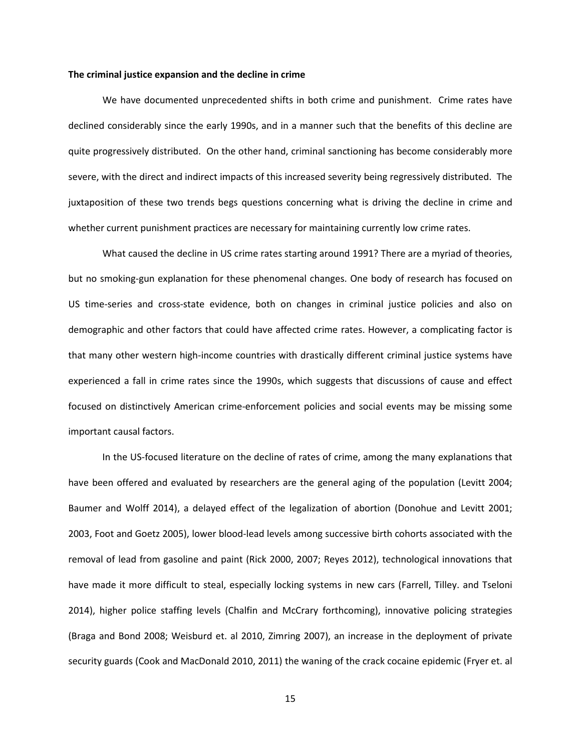#### **The criminal justice expansion and the decline in crime**

We have documented unprecedented shifts in both crime and punishment. Crime rates have declined considerably since the early 1990s, and in a manner such that the benefits of this decline are quite progressively distributed. On the other hand, criminal sanctioning has become considerably more severe, with the direct and indirect impacts of this increased severity being regressively distributed. The juxtaposition of these two trends begs questions concerning what is driving the decline in crime and whether current punishment practices are necessary for maintaining currently low crime rates.

What caused the decline in US crime rates starting around 1991? There are a myriad of theories, but no smoking-gun explanation for these phenomenal changes. One body of research has focused on US time-series and cross-state evidence, both on changes in criminal justice policies and also on demographic and other factors that could have affected crime rates. However, a complicating factor is that many other western high-income countries with drastically different criminal justice systems have experienced a fall in crime rates since the 1990s, which suggests that discussions of cause and effect focused on distinctively American crime-enforcement policies and social events may be missing some important causal factors.

In the US-focused literature on the decline of rates of crime, among the many explanations that have been offered and evaluated by researchers are the general aging of the population (Levitt 2004; Baumer and Wolff 2014), a delayed effect of the legalization of abortion (Donohue and Levitt 2001; 2003, Foot and Goetz 2005), lower blood-lead levels among successive birth cohorts associated with the removal of lead from gasoline and paint (Rick 2000, 2007; Reyes 2012), technological innovations that have made it more difficult to steal, especially locking systems in new cars (Farrell, Tilley. and Tseloni 2014), higher police staffing levels (Chalfin and McCrary forthcoming), innovative policing strategies (Braga and Bond 2008; Weisburd et. al 2010, Zimring 2007), an increase in the deployment of private security guards (Cook and MacDonald 2010, 2011) the waning of the crack cocaine epidemic (Fryer et. al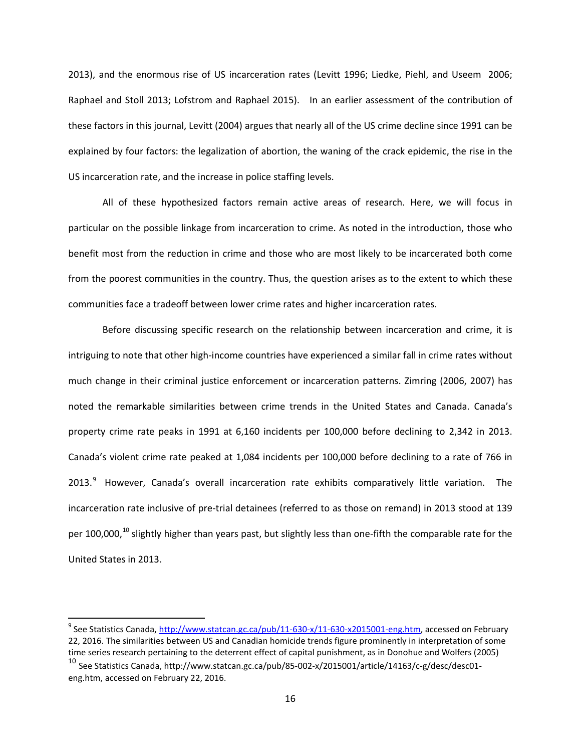2013), and the enormous rise of US incarceration rates (Levitt 1996; Liedke, Piehl, and Useem 2006; Raphael and Stoll 2013; Lofstrom and Raphael 2015). In an earlier assessment of the contribution of these factors in this journal, Levitt (2004) argues that nearly all of the US crime decline since 1991 can be explained by four factors: the legalization of abortion, the waning of the crack epidemic, the rise in the US incarceration rate, and the increase in police staffing levels.

All of these hypothesized factors remain active areas of research. Here, we will focus in particular on the possible linkage from incarceration to crime. As noted in the introduction, those who benefit most from the reduction in crime and those who are most likely to be incarcerated both come from the poorest communities in the country. Thus, the question arises as to the extent to which these communities face a tradeoff between lower crime rates and higher incarceration rates.

Before discussing specific research on the relationship between incarceration and crime, it is intriguing to note that other high-income countries have experienced a similar fall in crime rates without much change in their criminal justice enforcement or incarceration patterns. Zimring (2006, 2007) has noted the remarkable similarities between crime trends in the United States and Canada. Canada's property crime rate peaks in 1991 at 6,160 incidents per 100,000 before declining to 2,342 in 2013. Canada's violent crime rate peaked at 1,084 incidents per 100,000 before declining to a rate of 766 in 2013.<sup>[9](#page-18-0)</sup> However, Canada's overall incarceration rate exhibits comparatively little variation. The incarceration rate inclusive of pre-trial detainees (referred to as those on remand) in 2013 stood at 139 per [10](#page-18-1)0,000,<sup>10</sup> slightly higher than years past, but slightly less than one-fifth the comparable rate for the United States in 2013.

<span id="page-18-0"></span><sup>&</sup>lt;sup>9</sup> See Statistics Canada[, http://www.statcan.gc.ca/pub/11-630-x/11-630-x2015001-eng.htm,](http://www.statcan.gc.ca/pub/11-630-x/11-630-x2015001-eng.htm) accessed on February 22, 2016. The similarities between US and Canadian homicide trends figure prominently in interpretation of some time series research pertaining to the deterrent effect of capital punishment, as in Donohue and Wolfers (2005)

<span id="page-18-1"></span><sup>10</sup> See Statistics Canada, http://www.statcan.gc.ca/pub/85-002-x/2015001/article/14163/c-g/desc/desc01 eng.htm, accessed on February 22, 2016.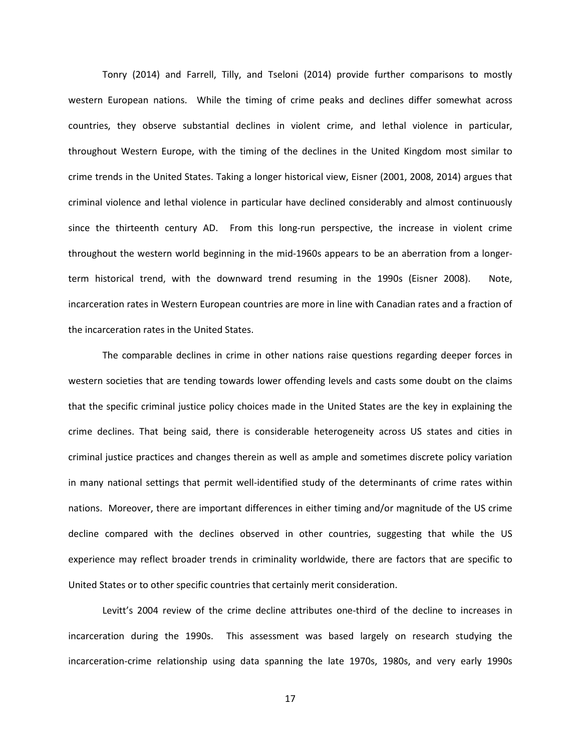Tonry (2014) and Farrell, Tilly, and Tseloni (2014) provide further comparisons to mostly western European nations. While the timing of crime peaks and declines differ somewhat across countries, they observe substantial declines in violent crime, and lethal violence in particular, throughout Western Europe, with the timing of the declines in the United Kingdom most similar to crime trends in the United States. Taking a longer historical view, Eisner (2001, 2008, 2014) argues that criminal violence and lethal violence in particular have declined considerably and almost continuously since the thirteenth century AD. From this long-run perspective, the increase in violent crime throughout the western world beginning in the mid-1960s appears to be an aberration from a longerterm historical trend, with the downward trend resuming in the 1990s (Eisner 2008). Note, incarceration rates in Western European countries are more in line with Canadian rates and a fraction of the incarceration rates in the United States.

The comparable declines in crime in other nations raise questions regarding deeper forces in western societies that are tending towards lower offending levels and casts some doubt on the claims that the specific criminal justice policy choices made in the United States are the key in explaining the crime declines. That being said, there is considerable heterogeneity across US states and cities in criminal justice practices and changes therein as well as ample and sometimes discrete policy variation in many national settings that permit well-identified study of the determinants of crime rates within nations. Moreover, there are important differences in either timing and/or magnitude of the US crime decline compared with the declines observed in other countries, suggesting that while the US experience may reflect broader trends in criminality worldwide, there are factors that are specific to United States or to other specific countries that certainly merit consideration.

Levitt's 2004 review of the crime decline attributes one-third of the decline to increases in incarceration during the 1990s. This assessment was based largely on research studying the incarceration-crime relationship using data spanning the late 1970s, 1980s, and very early 1990s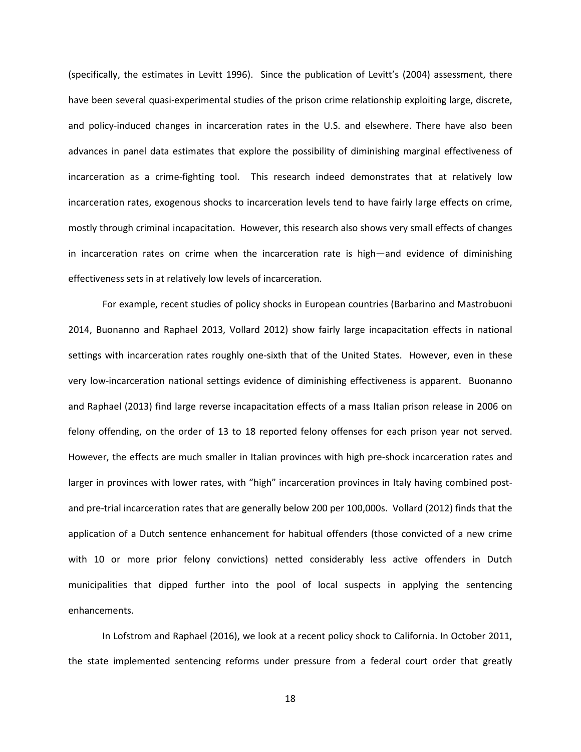(specifically, the estimates in Levitt 1996). Since the publication of Levitt's (2004) assessment, there have been several quasi-experimental studies of the prison crime relationship exploiting large, discrete, and policy-induced changes in incarceration rates in the U.S. and elsewhere. There have also been advances in panel data estimates that explore the possibility of diminishing marginal effectiveness of incarceration as a crime-fighting tool. This research indeed demonstrates that at relatively low incarceration rates, exogenous shocks to incarceration levels tend to have fairly large effects on crime, mostly through criminal incapacitation. However, this research also shows very small effects of changes in incarceration rates on crime when the incarceration rate is high—and evidence of diminishing effectiveness sets in at relatively low levels of incarceration.

For example, recent studies of policy shocks in European countries (Barbarino and Mastrobuoni 2014, Buonanno and Raphael 2013, Vollard 2012) show fairly large incapacitation effects in national settings with incarceration rates roughly one-sixth that of the United States. However, even in these very low-incarceration national settings evidence of diminishing effectiveness is apparent. Buonanno and Raphael (2013) find large reverse incapacitation effects of a mass Italian prison release in 2006 on felony offending, on the order of 13 to 18 reported felony offenses for each prison year not served. However, the effects are much smaller in Italian provinces with high pre-shock incarceration rates and larger in provinces with lower rates, with "high" incarceration provinces in Italy having combined postand pre-trial incarceration rates that are generally below 200 per 100,000s. Vollard (2012) finds that the application of a Dutch sentence enhancement for habitual offenders (those convicted of a new crime with 10 or more prior felony convictions) netted considerably less active offenders in Dutch municipalities that dipped further into the pool of local suspects in applying the sentencing enhancements.

In Lofstrom and Raphael (2016), we look at a recent policy shock to California. In October 2011, the state implemented sentencing reforms under pressure from a federal court order that greatly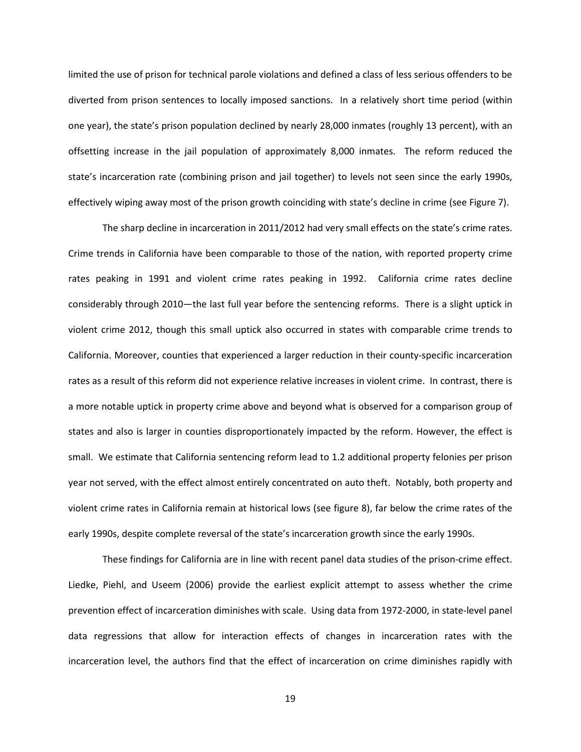limited the use of prison for technical parole violations and defined a class of less serious offenders to be diverted from prison sentences to locally imposed sanctions. In a relatively short time period (within one year), the state's prison population declined by nearly 28,000 inmates (roughly 13 percent), with an offsetting increase in the jail population of approximately 8,000 inmates. The reform reduced the state's incarceration rate (combining prison and jail together) to levels not seen since the early 1990s, effectively wiping away most of the prison growth coinciding with state's decline in crime (see Figure 7).

The sharp decline in incarceration in 2011/2012 had very small effects on the state's crime rates. Crime trends in California have been comparable to those of the nation, with reported property crime rates peaking in 1991 and violent crime rates peaking in 1992. California crime rates decline considerably through 2010—the last full year before the sentencing reforms. There is a slight uptick in violent crime 2012, though this small uptick also occurred in states with comparable crime trends to California. Moreover, counties that experienced a larger reduction in their county-specific incarceration rates as a result of this reform did not experience relative increases in violent crime. In contrast, there is a more notable uptick in property crime above and beyond what is observed for a comparison group of states and also is larger in counties disproportionately impacted by the reform. However, the effect is small. We estimate that California sentencing reform lead to 1.2 additional property felonies per prison year not served, with the effect almost entirely concentrated on auto theft. Notably, both property and violent crime rates in California remain at historical lows (see figure 8), far below the crime rates of the early 1990s, despite complete reversal of the state's incarceration growth since the early 1990s.

These findings for California are in line with recent panel data studies of the prison-crime effect. Liedke, Piehl, and Useem (2006) provide the earliest explicit attempt to assess whether the crime prevention effect of incarceration diminishes with scale. Using data from 1972-2000, in state-level panel data regressions that allow for interaction effects of changes in incarceration rates with the incarceration level, the authors find that the effect of incarceration on crime diminishes rapidly with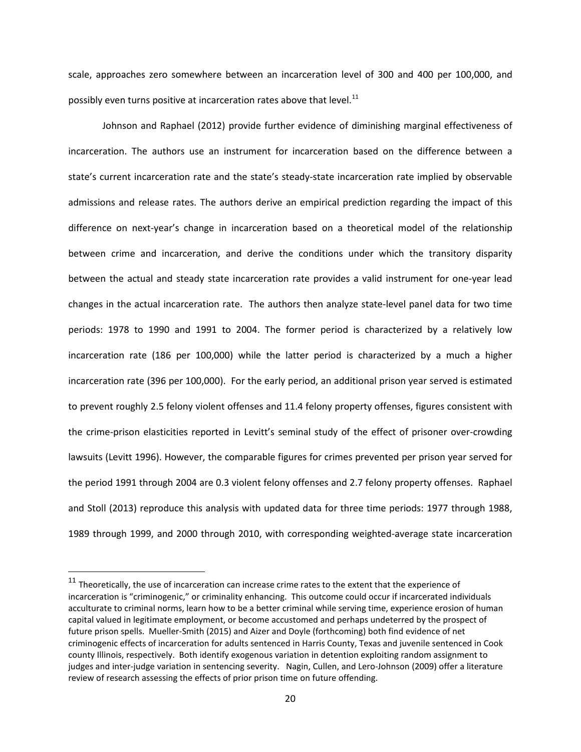scale, approaches zero somewhere between an incarceration level of 300 and 400 per 100,000, and possibly even turns positive at incarceration rates above that level.<sup>[11](#page-22-0)</sup>

Johnson and Raphael (2012) provide further evidence of diminishing marginal effectiveness of incarceration. The authors use an instrument for incarceration based on the difference between a state's current incarceration rate and the state's steady-state incarceration rate implied by observable admissions and release rates. The authors derive an empirical prediction regarding the impact of this difference on next-year's change in incarceration based on a theoretical model of the relationship between crime and incarceration, and derive the conditions under which the transitory disparity between the actual and steady state incarceration rate provides a valid instrument for one-year lead changes in the actual incarceration rate. The authors then analyze state-level panel data for two time periods: 1978 to 1990 and 1991 to 2004. The former period is characterized by a relatively low incarceration rate (186 per 100,000) while the latter period is characterized by a much a higher incarceration rate (396 per 100,000). For the early period, an additional prison year served is estimated to prevent roughly 2.5 felony violent offenses and 11.4 felony property offenses, figures consistent with the crime-prison elasticities reported in Levitt's seminal study of the effect of prisoner over-crowding lawsuits (Levitt 1996). However, the comparable figures for crimes prevented per prison year served for the period 1991 through 2004 are 0.3 violent felony offenses and 2.7 felony property offenses. Raphael and Stoll (2013) reproduce this analysis with updated data for three time periods: 1977 through 1988, 1989 through 1999, and 2000 through 2010, with corresponding weighted-average state incarceration

<span id="page-22-0"></span> $11$  Theoretically, the use of incarceration can increase crime rates to the extent that the experience of incarceration is "criminogenic," or criminality enhancing. This outcome could occur if incarcerated individuals acculturate to criminal norms, learn how to be a better criminal while serving time, experience erosion of human capital valued in legitimate employment, or become accustomed and perhaps undeterred by the prospect of future prison spells. Mueller-Smith (2015) and Aizer and Doyle (forthcoming) both find evidence of net criminogenic effects of incarceration for adults sentenced in Harris County, Texas and juvenile sentenced in Cook county Illinois, respectively. Both identify exogenous variation in detention exploiting random assignment to judges and inter-judge variation in sentencing severity. Nagin, Cullen, and Lero-Johnson (2009) offer a literature review of research assessing the effects of prior prison time on future offending.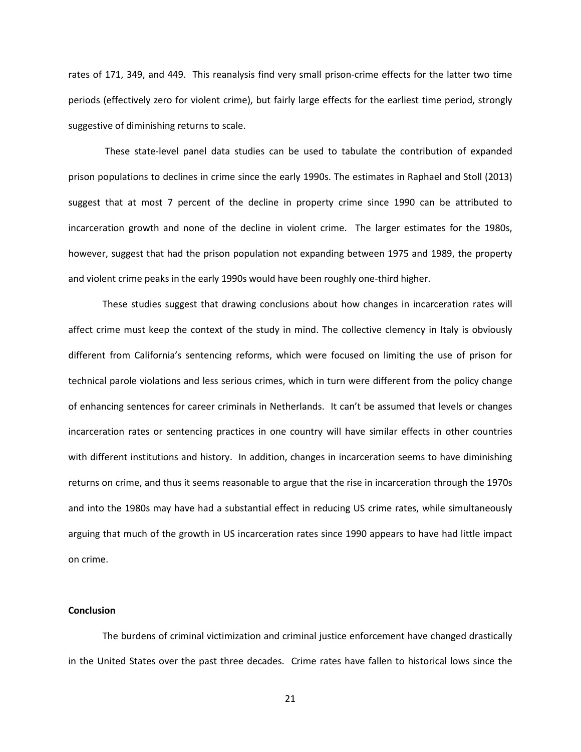rates of 171, 349, and 449. This reanalysis find very small prison-crime effects for the latter two time periods (effectively zero for violent crime), but fairly large effects for the earliest time period, strongly suggestive of diminishing returns to scale.

These state-level panel data studies can be used to tabulate the contribution of expanded prison populations to declines in crime since the early 1990s. The estimates in Raphael and Stoll (2013) suggest that at most 7 percent of the decline in property crime since 1990 can be attributed to incarceration growth and none of the decline in violent crime. The larger estimates for the 1980s, however, suggest that had the prison population not expanding between 1975 and 1989, the property and violent crime peaks in the early 1990s would have been roughly one-third higher.

These studies suggest that drawing conclusions about how changes in incarceration rates will affect crime must keep the context of the study in mind. The collective clemency in Italy is obviously different from California's sentencing reforms, which were focused on limiting the use of prison for technical parole violations and less serious crimes, which in turn were different from the policy change of enhancing sentences for career criminals in Netherlands. It can't be assumed that levels or changes incarceration rates or sentencing practices in one country will have similar effects in other countries with different institutions and history. In addition, changes in incarceration seems to have diminishing returns on crime, and thus it seems reasonable to argue that the rise in incarceration through the 1970s and into the 1980s may have had a substantial effect in reducing US crime rates, while simultaneously arguing that much of the growth in US incarceration rates since 1990 appears to have had little impact on crime.

#### **Conclusion**

The burdens of criminal victimization and criminal justice enforcement have changed drastically in the United States over the past three decades. Crime rates have fallen to historical lows since the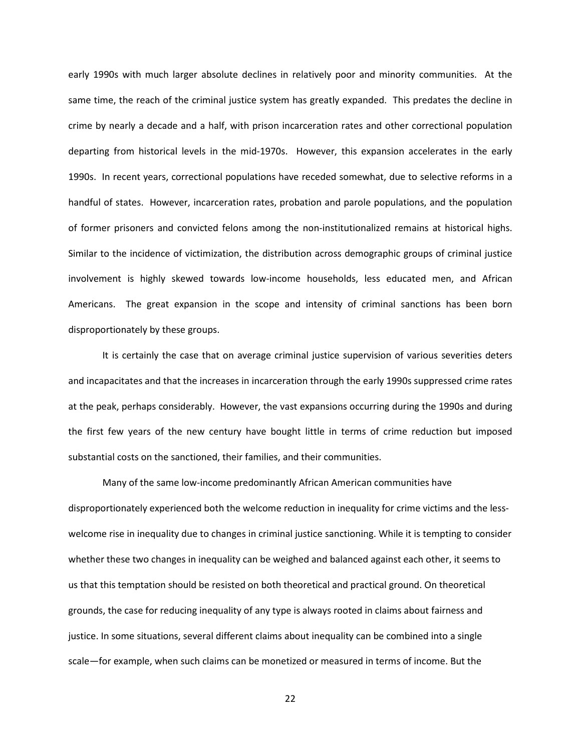early 1990s with much larger absolute declines in relatively poor and minority communities. At the same time, the reach of the criminal justice system has greatly expanded. This predates the decline in crime by nearly a decade and a half, with prison incarceration rates and other correctional population departing from historical levels in the mid-1970s. However, this expansion accelerates in the early 1990s. In recent years, correctional populations have receded somewhat, due to selective reforms in a handful of states. However, incarceration rates, probation and parole populations, and the population of former prisoners and convicted felons among the non-institutionalized remains at historical highs. Similar to the incidence of victimization, the distribution across demographic groups of criminal justice involvement is highly skewed towards low-income households, less educated men, and African Americans. The great expansion in the scope and intensity of criminal sanctions has been born disproportionately by these groups.

It is certainly the case that on average criminal justice supervision of various severities deters and incapacitates and that the increases in incarceration through the early 1990s suppressed crime rates at the peak, perhaps considerably. However, the vast expansions occurring during the 1990s and during the first few years of the new century have bought little in terms of crime reduction but imposed substantial costs on the sanctioned, their families, and their communities.

Many of the same low-income predominantly African American communities have disproportionately experienced both the welcome reduction in inequality for crime victims and the lesswelcome rise in inequality due to changes in criminal justice sanctioning. While it is tempting to consider whether these two changes in inequality can be weighed and balanced against each other, it seems to us that this temptation should be resisted on both theoretical and practical ground. On theoretical grounds, the case for reducing inequality of any type is always rooted in claims about fairness and justice. In some situations, several different claims about inequality can be combined into a single scale—for example, when such claims can be monetized or measured in terms of income. But the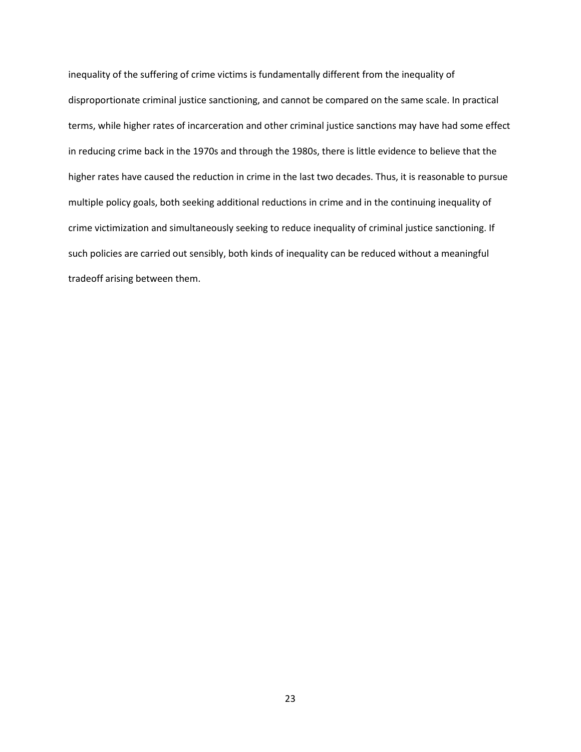inequality of the suffering of crime victims is fundamentally different from the inequality of disproportionate criminal justice sanctioning, and cannot be compared on the same scale. In practical terms, while higher rates of incarceration and other criminal justice sanctions may have had some effect in reducing crime back in the 1970s and through the 1980s, there is little evidence to believe that the higher rates have caused the reduction in crime in the last two decades. Thus, it is reasonable to pursue multiple policy goals, both seeking additional reductions in crime and in the continuing inequality of crime victimization and simultaneously seeking to reduce inequality of criminal justice sanctioning. If such policies are carried out sensibly, both kinds of inequality can be reduced without a meaningful tradeoff arising between them.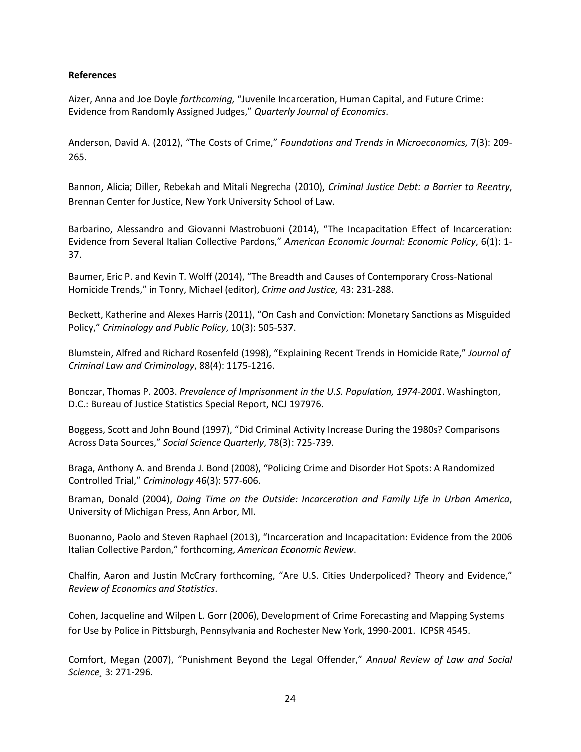### **References**

Aizer, Anna and Joe Doyle *forthcoming,* "Juvenile Incarceration, Human Capital, and Future Crime: Evidence from Randomly Assigned Judges," *Quarterly Journal of Economics*.

Anderson, David A. (2012), "The Costs of Crime," *Foundations and Trends in Microeconomics,* 7(3): 209- 265.

Bannon, Alicia; Diller, Rebekah and Mitali Negrecha (2010), *Criminal Justice Debt: a Barrier to Reentry*, Brennan Center for Justice, New York University School of Law.

Barbarino, Alessandro and Giovanni Mastrobuoni (2014), "The Incapacitation Effect of Incarceration: Evidence from Several Italian Collective Pardons," *American Economic Journal: Economic Policy*, 6(1): 1- 37.

Baumer, Eric P. and Kevin T. Wolff (2014), "The Breadth and Causes of Contemporary Cross-National Homicide Trends," in Tonry, Michael (editor), *Crime and Justice,* 43: 231-288.

Beckett, Katherine and Alexes Harris (2011), "On Cash and Conviction: Monetary Sanctions as Misguided Policy," *Criminology and Public Policy*, 10(3): 505-537.

Blumstein, Alfred and Richard Rosenfeld (1998), "Explaining Recent Trends in Homicide Rate," *Journal of Criminal Law and Criminology*, 88(4): 1175-1216.

Bonczar, Thomas P. 2003. *Prevalence of Imprisonment in the U.S. Population, 1974-2001*. Washington, D.C.: Bureau of Justice Statistics Special Report, NCJ 197976.

Boggess, Scott and John Bound (1997), "Did Criminal Activity Increase During the 1980s? Comparisons Across Data Sources," *Social Science Quarterly*, 78(3): 725-739.

Braga, Anthony A. and Brenda J. Bond (2008), "Policing Crime and Disorder Hot Spots: A Randomized Controlled Trial," *Criminology* 46(3): 577-606.

Braman, Donald (2004), *Doing Time on the Outside: Incarceration and Family Life in Urban America*, University of Michigan Press, Ann Arbor, MI.

Buonanno, Paolo and Steven Raphael (2013), "Incarceration and Incapacitation: Evidence from the 2006 Italian Collective Pardon," forthcoming, *American Economic Review*.

Chalfin, Aaron and Justin McCrary forthcoming, "Are U.S. Cities Underpoliced? Theory and Evidence," *Review of Economics and Statistics*.

Cohen, Jacqueline and Wilpen L. Gorr (2006), Development of Crime Forecasting and Mapping Systems for Use by Police in Pittsburgh, Pennsylvania and Rochester New York, 1990-2001. ICPSR 4545.

Comfort, Megan (2007), "Punishment Beyond the Legal Offender," *Annual Review of Law and Social Science¸* 3: 271-296.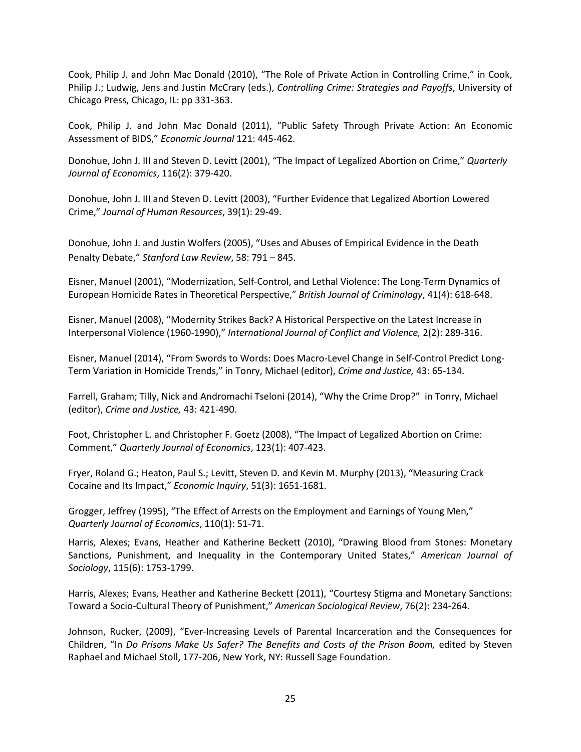Cook, Philip J. and John Mac Donald (2010), "The Role of Private Action in Controlling Crime," in Cook, Philip J.; Ludwig, Jens and Justin McCrary (eds.), *Controlling Crime: Strategies and Payoffs*, University of Chicago Press, Chicago, IL: pp 331-363.

Cook, Philip J. and John Mac Donald (2011), "Public Safety Through Private Action: An Economic Assessment of BIDS," *Economic Journal* 121: 445-462.

Donohue, John J. III and Steven D. Levitt (2001), "The Impact of Legalized Abortion on Crime," *Quarterly Journal of Economics*, 116(2): 379-420.

Donohue, John J. III and Steven D. Levitt (2003), "Further Evidence that Legalized Abortion Lowered Crime," *Journal of Human Resources*, 39(1): 29-49.

Donohue, John J. and Justin Wolfers (2005), "Uses and Abuses of Empirical Evidence in the Death Penalty Debate," *Stanford Law Review*, 58: 791 – 845.

Eisner, Manuel (2001), "Modernization, Self-Control, and Lethal Violence: The Long-Term Dynamics of European Homicide Rates in Theoretical Perspective," *British Journal of Criminology*, 41(4): 618-648.

Eisner, Manuel (2008), "Modernity Strikes Back? A Historical Perspective on the Latest Increase in Interpersonal Violence (1960-1990)," *International Journal of Conflict and Violence,* 2(2): 289-316.

Eisner, Manuel (2014), "From Swords to Words: Does Macro-Level Change in Self-Control Predict Long-Term Variation in Homicide Trends," in Tonry, Michael (editor), *Crime and Justice,* 43: 65-134.

Farrell, Graham; Tilly, Nick and Andromachi Tseloni (2014), "Why the Crime Drop?" in Tonry, Michael (editor), *Crime and Justice,* 43: 421-490.

Foot, Christopher L. and Christopher F. Goetz (2008), "The Impact of Legalized Abortion on Crime: Comment," *Quarterly Journal of Economics*, 123(1): 407-423.

Fryer, Roland G.; Heaton, Paul S.; Levitt, Steven D. and Kevin M. Murphy (2013), "Measuring Crack Cocaine and Its Impact," *Economic Inquiry*, 51(3): 1651-1681.

Grogger, Jeffrey (1995), "The Effect of Arrests on the Employment and Earnings of Young Men," *Quarterly Journal of Economics*, 110(1): 51-71.

Harris, Alexes; Evans, Heather and Katherine Beckett (2010), "Drawing Blood from Stones: Monetary Sanctions, Punishment, and Inequality in the Contemporary United States," *American Journal of Sociology*, 115(6): 1753-1799.

Harris, Alexes; Evans, Heather and Katherine Beckett (2011), "Courtesy Stigma and Monetary Sanctions: Toward a Socio-Cultural Theory of Punishment," *American Sociological Review*, 76(2): 234-264.

Johnson, Rucker, (2009), "Ever-Increasing Levels of Parental Incarceration and the Consequences for Children, "In *Do Prisons Make Us Safer? The Benefits and Costs of the Prison Boom, edited by Steven* Raphael and Michael Stoll, 177-206, New York, NY: Russell Sage Foundation.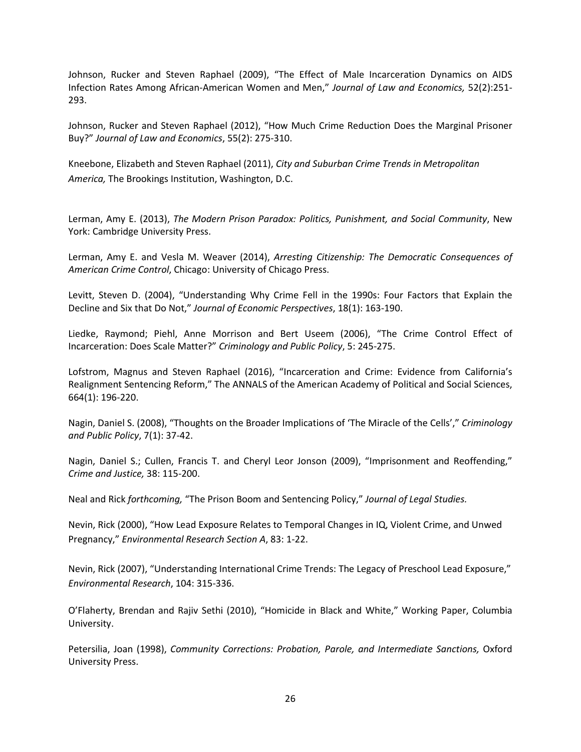Johnson, Rucker and Steven Raphael (2009), "The Effect of Male Incarceration Dynamics on AIDS Infection Rates Among African-American Women and Men," *Journal of Law and Economics,* 52(2):251- 293.

Johnson, Rucker and Steven Raphael (2012), "How Much Crime Reduction Does the Marginal Prisoner Buy?" *Journal of Law and Economics*, 55(2): 275-310.

Kneebone, Elizabeth and Steven Raphael (2011), *City and Suburban Crime Trends in Metropolitan America,* The Brookings Institution, Washington, D.C.

Lerman, Amy E. (2013), *The Modern Prison Paradox: Politics, Punishment, and Social Community*, New York: Cambridge University Press.

Lerman, Amy E. and Vesla M. Weaver (2014), *Arresting Citizenship: The Democratic Consequences of American Crime Control*, Chicago: University of Chicago Press.

Levitt, Steven D. (2004), "Understanding Why Crime Fell in the 1990s: Four Factors that Explain the Decline and Six that Do Not," *Journal of Economic Perspectives*, 18(1): 163-190.

Liedke, Raymond; Piehl, Anne Morrison and Bert Useem (2006), "The Crime Control Effect of Incarceration: Does Scale Matter?" *Criminology and Public Policy*, 5: 245-275.

Lofstrom, Magnus and Steven Raphael (2016), "Incarceration and Crime: Evidence from California's Realignment Sentencing Reform," The ANNALS of the American Academy of Political and Social Sciences, 664(1): 196-220.

Nagin, Daniel S. (2008), "Thoughts on the Broader Implications of 'The Miracle of the Cells'," *Criminology and Public Policy*, 7(1): 37-42.

Nagin, Daniel S.; Cullen, Francis T. and Cheryl Leor Jonson (2009), "Imprisonment and Reoffending," *Crime and Justice,* 38: 115-200.

Neal and Rick *forthcoming,* "The Prison Boom and Sentencing Policy," *Journal of Legal Studies.*

Nevin, Rick (2000), "How Lead Exposure Relates to Temporal Changes in IQ, Violent Crime, and Unwed Pregnancy," *Environmental Research Section A*, 83: 1-22.

Nevin, Rick (2007), "Understanding International Crime Trends: The Legacy of Preschool Lead Exposure," *Environmental Research*, 104: 315-336.

O'Flaherty, Brendan and Rajiv Sethi (2010), "Homicide in Black and White," Working Paper, Columbia University.

Petersilia, Joan (1998), *Community Corrections: Probation, Parole, and Intermediate Sanctions,* Oxford University Press.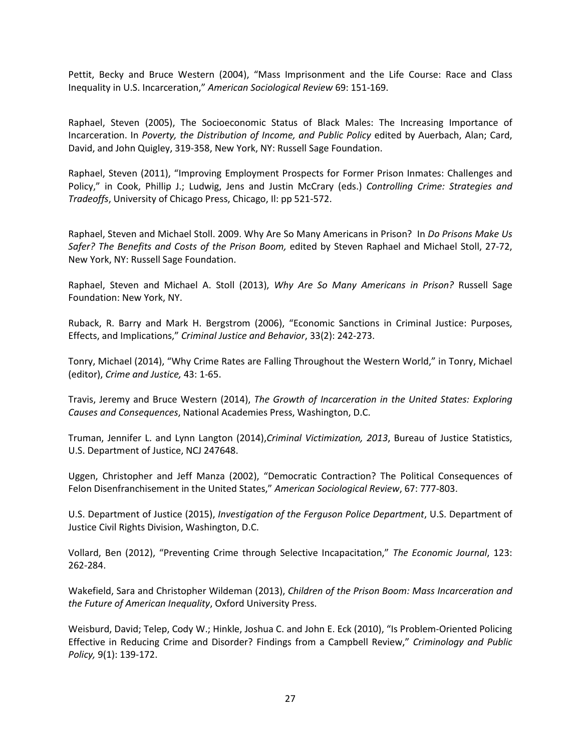Pettit, Becky and Bruce Western (2004), "Mass Imprisonment and the Life Course: Race and Class Inequality in U.S. Incarceration," *American Sociological Review* 69: 151-169.

Raphael, Steven (2005), The Socioeconomic Status of Black Males: The Increasing Importance of Incarceration. In *Poverty, the Distribution of Income, and Public Policy* edited by Auerbach, Alan; Card, David, and John Quigley, 319-358, New York, NY: Russell Sage Foundation.

Raphael, Steven (2011), "Improving Employment Prospects for Former Prison Inmates: Challenges and Policy," in Cook, Phillip J.; Ludwig, Jens and Justin McCrary (eds.) *Controlling Crime: Strategies and Tradeoffs*, University of Chicago Press, Chicago, Il: pp 521-572.

Raphael, Steven and Michael Stoll. 2009. Why Are So Many Americans in Prison? In *Do Prisons Make Us Safer? The Benefits and Costs of the Prison Boom,* edited by Steven Raphael and Michael Stoll, 27-72, New York, NY: Russell Sage Foundation.

Raphael, Steven and Michael A. Stoll (2013), *Why Are So Many Americans in Prison?* Russell Sage Foundation: New York, NY.

Ruback, R. Barry and Mark H. Bergstrom (2006), "Economic Sanctions in Criminal Justice: Purposes, Effects, and Implications," *Criminal Justice and Behavior*, 33(2): 242-273.

Tonry, Michael (2014), "Why Crime Rates are Falling Throughout the Western World," in Tonry, Michael (editor), *Crime and Justice,* 43: 1-65.

Travis, Jeremy and Bruce Western (2014), *The Growth of Incarceration in the United States: Exploring Causes and Consequences*, National Academies Press, Washington, D.C.

Truman, Jennifer L. and Lynn Langton (2014),*Criminal Victimization, 2013*, Bureau of Justice Statistics, U.S. Department of Justice, NCJ 247648.

Uggen, Christopher and Jeff Manza (2002), "Democratic Contraction? The Political Consequences of Felon Disenfranchisement in the United States," *American Sociological Review*, 67: 777-803.

U.S. Department of Justice (2015), *Investigation of the Ferguson Police Department*, U.S. Department of Justice Civil Rights Division, Washington, D.C.

Vollard, Ben (2012), "Preventing Crime through Selective Incapacitation," *The Economic Journal*, 123: 262-284.

Wakefield, Sara and Christopher Wildeman (2013), *Children of the Prison Boom: Mass Incarceration and the Future of American Inequality*, Oxford University Press.

Weisburd, David; Telep, Cody W.; Hinkle, Joshua C. and John E. Eck (2010), "Is Problem-Oriented Policing Effective in Reducing Crime and Disorder? Findings from a Campbell Review," *Criminology and Public Policy,* 9(1): 139-172.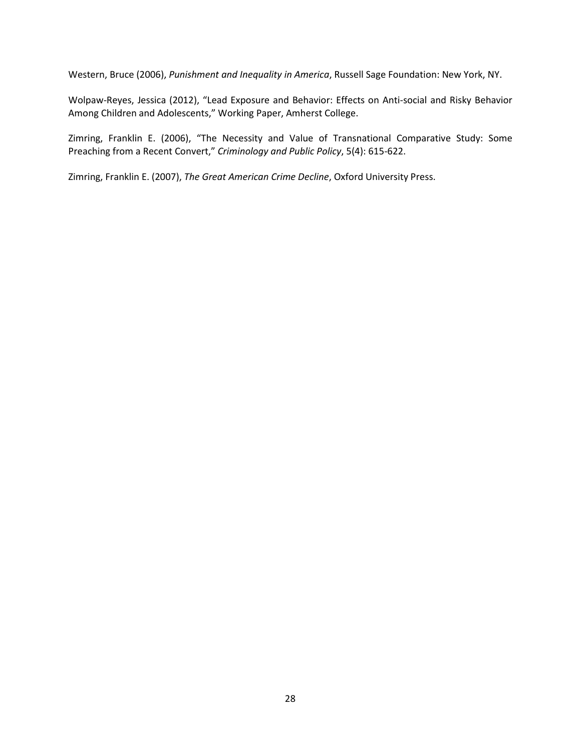Western, Bruce (2006), *Punishment and Inequality in America*, Russell Sage Foundation: New York, NY.

Wolpaw-Reyes, Jessica (2012), "Lead Exposure and Behavior: Effects on Anti-social and Risky Behavior Among Children and Adolescents," Working Paper, Amherst College.

Zimring, Franklin E. (2006), "The Necessity and Value of Transnational Comparative Study: Some Preaching from a Recent Convert," *Criminology and Public Policy*, 5(4): 615-622.

Zimring, Franklin E. (2007), *The Great American Crime Decline*, Oxford University Press.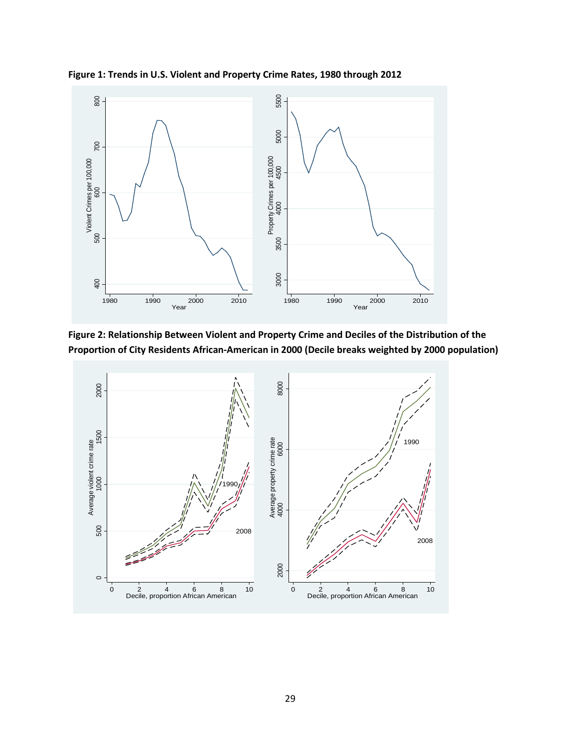



**Figure 2: Relationship Between Violent and Property Crime and Deciles of the Distribution of the** 

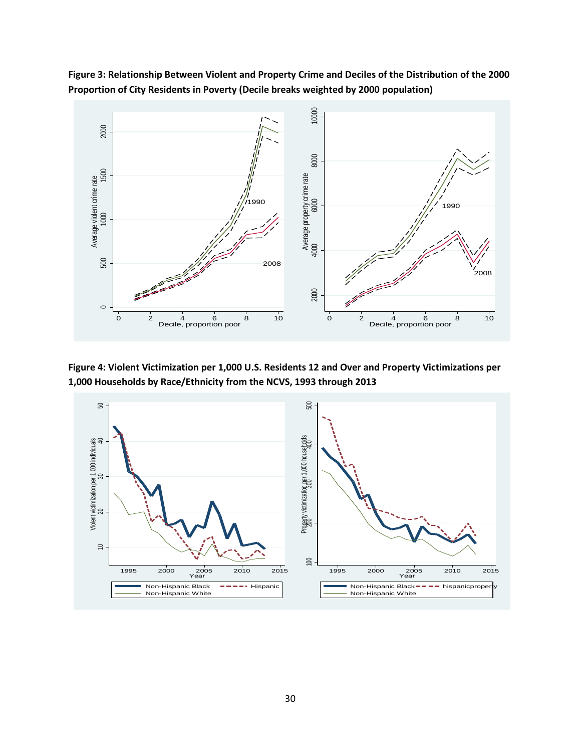

**Figure 3: Relationship Between Violent and Property Crime and Deciles of the Distribution of the 2000 Proportion of City Residents in Poverty (Decile breaks weighted by 2000 population)**

**Figure 4: Violent Victimization per 1,000 U.S. Residents 12 and Over and Property Victimizations per 1,000 Households by Race/Ethnicity from the NCVS, 1993 through 2013**

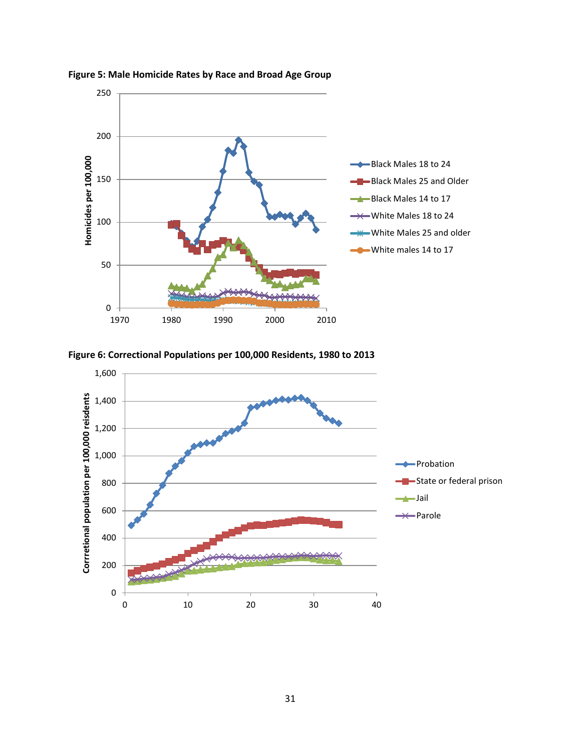





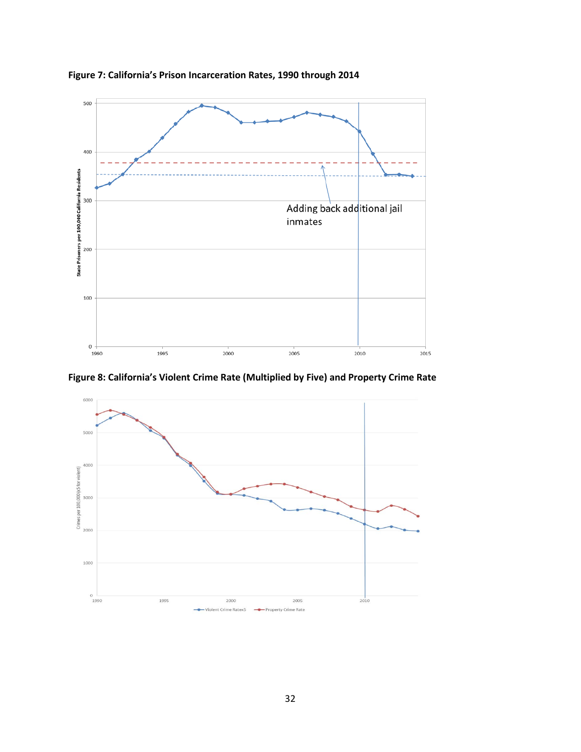

**Figure 7: California's Prison Incarceration Rates, 1990 through 2014**

**Figure 8: California's Violent Crime Rate (Multiplied by Five) and Property Crime Rate**